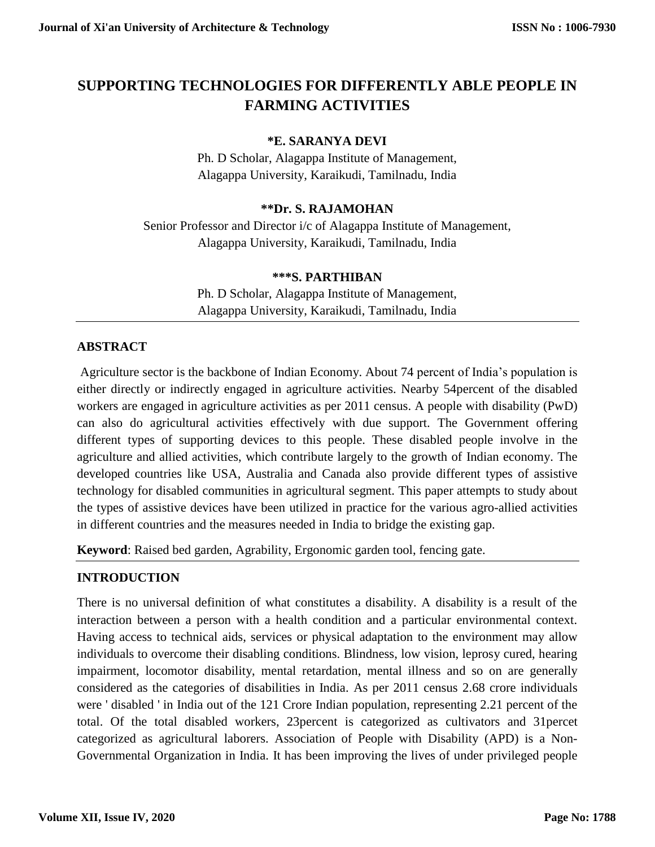# **SUPPORTING TECHNOLOGIES FOR DIFFERENTLY ABLE PEOPLE IN FARMING ACTIVITIES**

## **\*E. SARANYA DEVI**

Ph. D Scholar, Alagappa Institute of Management, Alagappa University, Karaikudi, Tamilnadu, India

#### **\*\*Dr. S. RAJAMOHAN**

Senior Professor and Director i/c of Alagappa Institute of Management, Alagappa University, Karaikudi, Tamilnadu, India

#### **\*\*\*S. PARTHIBAN**

Ph. D Scholar, Alagappa Institute of Management, Alagappa University, Karaikudi, Tamilnadu, India

#### **ABSTRACT**

Agriculture sector is the backbone of Indian Economy. About 74 percent of India's population is either directly or indirectly engaged in agriculture activities. Nearby 54percent of the disabled workers are engaged in agriculture activities as per 2011 census. A people with disability (PwD) can also do agricultural activities effectively with due support. The Government offering different types of supporting devices to this people. These disabled people involve in the agriculture and allied activities, which contribute largely to the growth of Indian economy. The developed countries like USA, Australia and Canada also provide different types of assistive technology for disabled communities in agricultural segment. This paper attempts to study about the types of assistive devices have been utilized in practice for the various agro-allied activities in different countries and the measures needed in India to bridge the existing gap.

**Keyword**: Raised bed garden, Agrability, Ergonomic garden tool, fencing gate.

# **INTRODUCTION**

There is no universal definition of what constitutes a disability. A disability is a result of the interaction between a person with a health condition and a particular environmental context. Having access to technical aids, services or physical adaptation to the environment may allow individuals to overcome their disabling conditions. Blindness, low vision, leprosy cured, hearing impairment, locomotor disability, mental retardation, mental illness and so on are generally considered as the categories of disabilities in India. As per 2011 census 2.68 crore individuals were ' disabled ' in India out of the 121 Crore Indian population, representing 2.21 percent of the total. Of the total disabled workers, 23percent is categorized as cultivators and 31percet categorized as agricultural laborers. Association of People with Disability (APD) is a Non-Governmental Organization in India. It has been improving the lives of under privileged people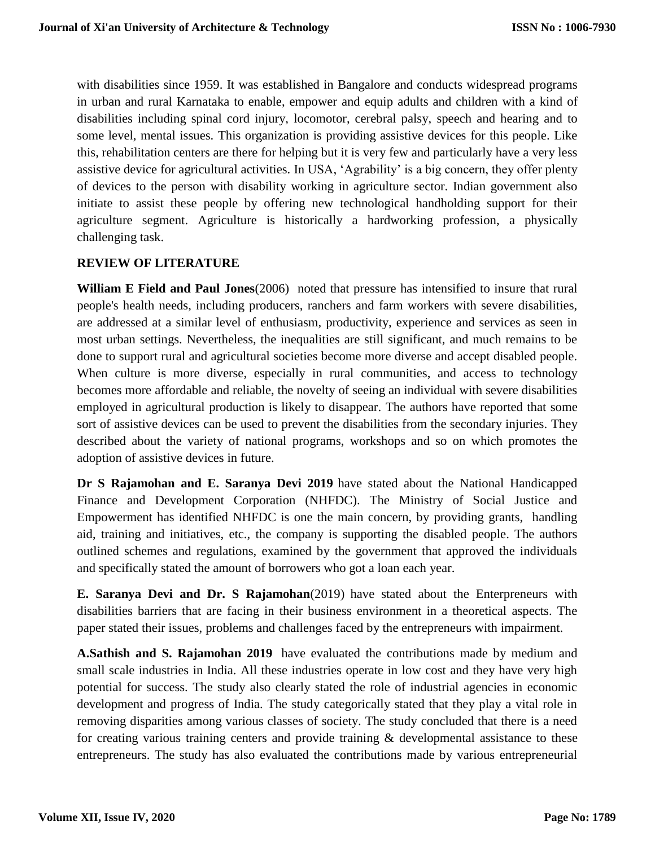with disabilities since 1959. It was established in Bangalore and conducts widespread programs in urban and rural Karnataka to enable, empower and equip adults and children with a kind of disabilities including spinal cord injury, locomotor, cerebral palsy, speech and hearing and to some level, mental issues. This organization is providing assistive devices for this people. Like this, rehabilitation centers are there for helping but it is very few and particularly have a very less assistive device for agricultural activities. In USA, 'Agrability' is a big concern, they offer plenty of devices to the person with disability working in agriculture sector. Indian government also initiate to assist these people by offering new technological handholding support for their agriculture segment. Agriculture is historically a hardworking profession, a physically challenging task.

#### **REVIEW OF LITERATURE**

**William E Field and Paul Jones**(2006) noted that pressure has intensified to insure that rural people's health needs, including producers, ranchers and farm workers with severe disabilities, are addressed at a similar level of enthusiasm, productivity, experience and services as seen in most urban settings. Nevertheless, the inequalities are still significant, and much remains to be done to support rural and agricultural societies become more diverse and accept disabled people. When culture is more diverse, especially in rural communities, and access to technology becomes more affordable and reliable, the novelty of seeing an individual with severe disabilities employed in agricultural production is likely to disappear. The authors have reported that some sort of assistive devices can be used to prevent the disabilities from the secondary injuries. They described about the variety of national programs, workshops and so on which promotes the adoption of assistive devices in future.

**Dr S Rajamohan and E. Saranya Devi 2019** have stated about the National Handicapped Finance and Development Corporation (NHFDC). The Ministry of Social Justice and Empowerment has identified NHFDC is one the main concern, by providing grants, handling aid, training and initiatives, etc., the company is supporting the disabled people. The authors outlined schemes and regulations, examined by the government that approved the individuals and specifically stated the amount of borrowers who got a loan each year.

**E. Saranya Devi and Dr. S Rajamohan**(2019) have stated about the Enterpreneurs with disabilities barriers that are facing in their business environment in a theoretical aspects. The paper stated their issues, problems and challenges faced by the entrepreneurs with impairment.

**A.Sathish and S. Rajamohan 2019** have evaluated the contributions made by medium and small scale industries in India. All these industries operate in low cost and they have very high potential for success. The study also clearly stated the role of industrial agencies in economic development and progress of India. The study categorically stated that they play a vital role in removing disparities among various classes of society. The study concluded that there is a need for creating various training centers and provide training  $\&$  developmental assistance to these entrepreneurs. The study has also evaluated the contributions made by various entrepreneurial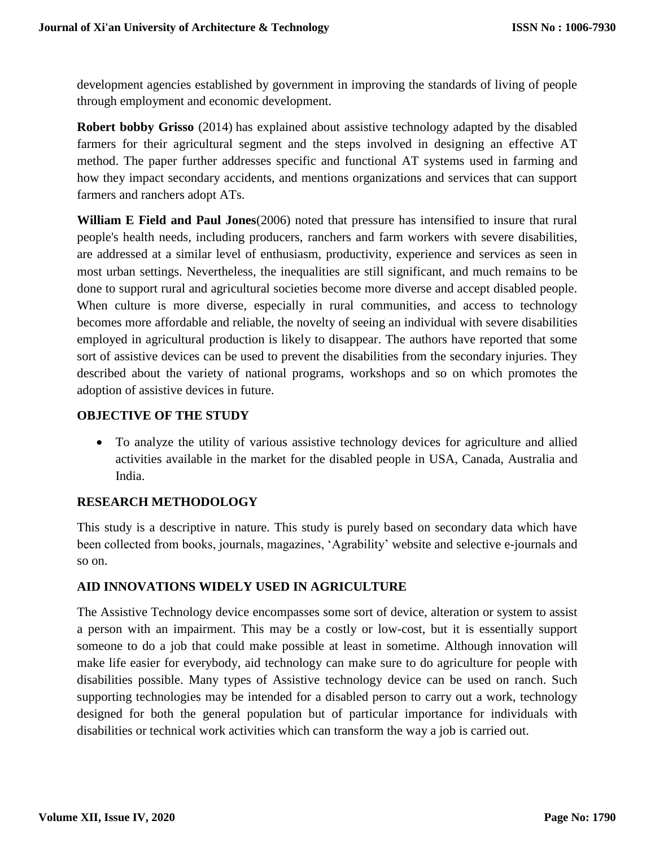development agencies established by government in improving the standards of living of people through employment and economic development.

**Robert bobby Grisso** (2014) has explained about assistive technology adapted by the disabled farmers for their agricultural segment and the steps involved in designing an effective AT method. The paper further addresses specific and functional AT systems used in farming and how they impact secondary accidents, and mentions organizations and services that can support farmers and ranchers adopt ATs.

**William E Field and Paul Jones**(2006) noted that pressure has intensified to insure that rural people's health needs, including producers, ranchers and farm workers with severe disabilities, are addressed at a similar level of enthusiasm, productivity, experience and services as seen in most urban settings. Nevertheless, the inequalities are still significant, and much remains to be done to support rural and agricultural societies become more diverse and accept disabled people. When culture is more diverse, especially in rural communities, and access to technology becomes more affordable and reliable, the novelty of seeing an individual with severe disabilities employed in agricultural production is likely to disappear. The authors have reported that some sort of assistive devices can be used to prevent the disabilities from the secondary injuries. They described about the variety of national programs, workshops and so on which promotes the adoption of assistive devices in future.

# **OBJECTIVE OF THE STUDY**

 To analyze the utility of various assistive technology devices for agriculture and allied activities available in the market for the disabled people in USA, Canada, Australia and India.

# **RESEARCH METHODOLOGY**

This study is a descriptive in nature. This study is purely based on secondary data which have been collected from books, journals, magazines, 'Agrability' website and selective e-journals and so on.

# **AID INNOVATIONS WIDELY USED IN AGRICULTURE**

The Assistive Technology device encompasses some sort of device, alteration or system to assist a person with an impairment. This may be a costly or low-cost, but it is essentially support someone to do a job that could make possible at least in sometime. Although innovation will make life easier for everybody, aid technology can make sure to do agriculture for people with disabilities possible. Many types of Assistive technology device can be used on ranch. Such supporting technologies may be intended for a disabled person to carry out a work, technology designed for both the general population but of particular importance for individuals with disabilities or technical work activities which can transform the way a job is carried out.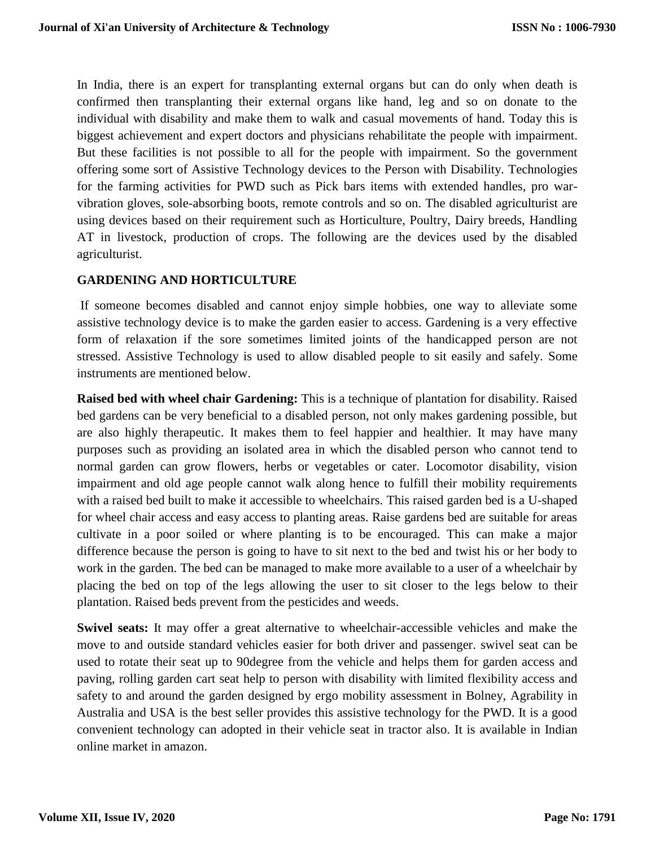In India, there is an expert for transplanting external organs but can do only when death is confirmed then transplanting their external organs like hand, leg and so on donate to the individual with disability and make them to walk and casual movements of hand. Today this is biggest achievement and expert doctors and physicians rehabilitate the people with impairment. But these facilities is not possible to all for the people with impairment. So the government offering some sort of Assistive Technology devices to the Person with Disability. Technologies for the farming activities for PWD such as Pick bars items with extended handles, pro warvibration gloves, sole-absorbing boots, remote controls and so on. The disabled agriculturist are using devices based on their requirement such as Horticulture, Poultry, Dairy breeds, Handling AT in livestock, production of crops. The following are the devices used by the disabled agriculturist.

#### **GARDENING AND HORTICULTURE**

If someone becomes disabled and cannot enjoy simple hobbies, one way to alleviate some assistive technology device is to make the garden easier to access. Gardening is a very effective form of relaxation if the sore sometimes limited joints of the handicapped person are not stressed. Assistive Technology is used to allow disabled people to sit easily and safely. Some instruments are mentioned below.

**Raised bed with wheel chair Gardening:** This is a technique of plantation for disability. Raised bed gardens can be very beneficial to a disabled person, not only makes gardening possible, but are also highly therapeutic. It makes them to feel happier and healthier. It may have many purposes such as providing an isolated area in which the disabled person who cannot tend to normal garden can grow flowers, herbs or vegetables or cater. Locomotor disability, vision impairment and old age people cannot walk along hence to fulfill their mobility requirements with a raised bed built to make it accessible to wheelchairs. This raised garden bed is a U-shaped for wheel chair access and easy access to planting areas. Raise gardens bed are suitable for areas cultivate in a poor soiled or where planting is to be encouraged. This can make a major difference because the person is going to have to sit next to the bed and twist his or her body to work in the garden. The bed can be managed to make more available to a user of a wheelchair by placing the bed on top of the legs allowing the user to sit closer to the legs below to their plantation. Raised beds prevent from the pesticides and weeds.

**Swivel seats:** It may offer a great alternative to wheelchair-accessible vehicles and make the move to and outside standard vehicles easier for both driver and passenger. swivel seat can be used to rotate their seat up to 90degree from the vehicle and helps them for garden access and paving, rolling garden cart seat help to person with disability with limited flexibility access and safety to and around the garden designed by ergo mobility assessment in Bolney, Agrability in Australia and USA is the best seller provides this assistive technology for the PWD. It is a good convenient technology can adopted in their vehicle seat in tractor also. It is available in Indian online market in amazon.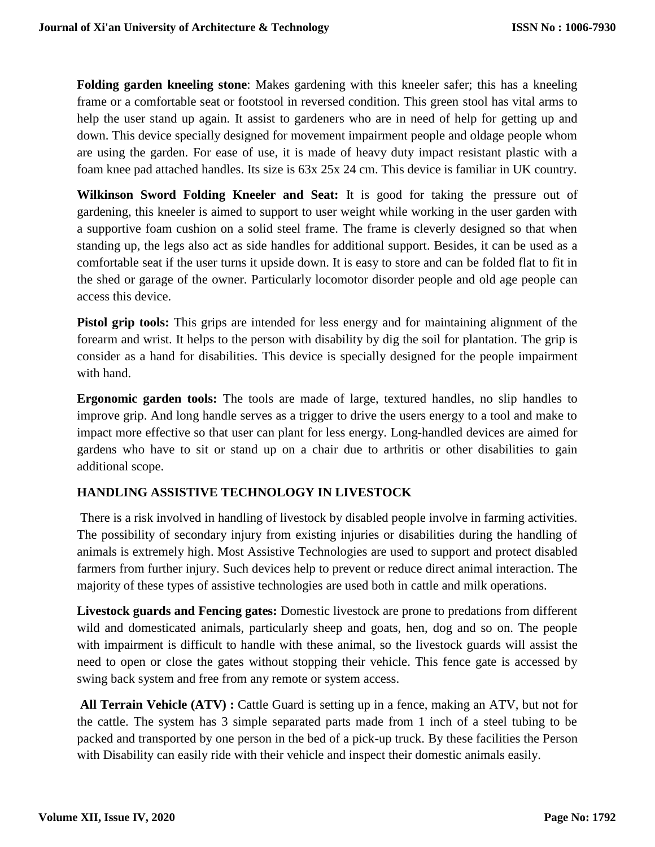**Folding garden kneeling stone**: Makes gardening with this kneeler safer; this has a kneeling frame or a comfortable seat or footstool in reversed condition. This green stool has vital arms to help the user stand up again. It assist to gardeners who are in need of help for getting up and down. This device specially designed for movement impairment people and oldage people whom are using the garden. For ease of use, it is made of heavy duty impact resistant plastic with a foam knee pad attached handles. Its size is 63x 25x 24 cm. This device is familiar in UK country.

**Wilkinson Sword Folding Kneeler and Seat:** It is good for taking the pressure out of gardening, this kneeler is aimed to support to user weight while working in the user garden with a supportive foam cushion on a solid steel frame. The frame is cleverly designed so that when standing up, the legs also act as side handles for additional support. Besides, it can be used as a comfortable seat if the user turns it upside down. It is easy to store and can be folded flat to fit in the shed or garage of the owner. Particularly locomotor disorder people and old age people can access this device.

**Pistol grip tools:** This grips are intended for less energy and for maintaining alignment of the forearm and wrist. It helps to the person with disability by dig the soil for plantation. The grip is consider as a hand for disabilities. This device is specially designed for the people impairment with hand.

**Ergonomic garden tools:** The tools are made of large, textured handles, no slip handles to improve grip. And long handle serves as a trigger to drive the users energy to a tool and make to impact more effective so that user can plant for less energy. Long-handled devices are aimed for gardens who have to sit or stand up on a chair due to arthritis or other disabilities to gain additional scope.

# **HANDLING ASSISTIVE TECHNOLOGY IN LIVESTOCK**

There is a risk involved in handling of livestock by disabled people involve in farming activities. The possibility of secondary injury from existing injuries or disabilities during the handling of animals is extremely high. Most Assistive Technologies are used to support and protect disabled farmers from further injury. Such devices help to prevent or reduce direct animal interaction. The majority of these types of assistive technologies are used both in cattle and milk operations.

**Livestock guards and Fencing gates:** Domestic livestock are prone to predations from different wild and domesticated animals, particularly sheep and goats, hen, dog and so on. The people with impairment is difficult to handle with these animal, so the livestock guards will assist the need to open or close the gates without stopping their vehicle. This fence gate is accessed by swing back system and free from any remote or system access.

**All Terrain Vehicle (ATV) :** Cattle Guard is setting up in a fence, making an ATV, but not for the cattle. The system has 3 simple separated parts made from 1 inch of a steel tubing to be packed and transported by one person in the bed of a pick-up truck. By these facilities the Person with Disability can easily ride with their vehicle and inspect their domestic animals easily.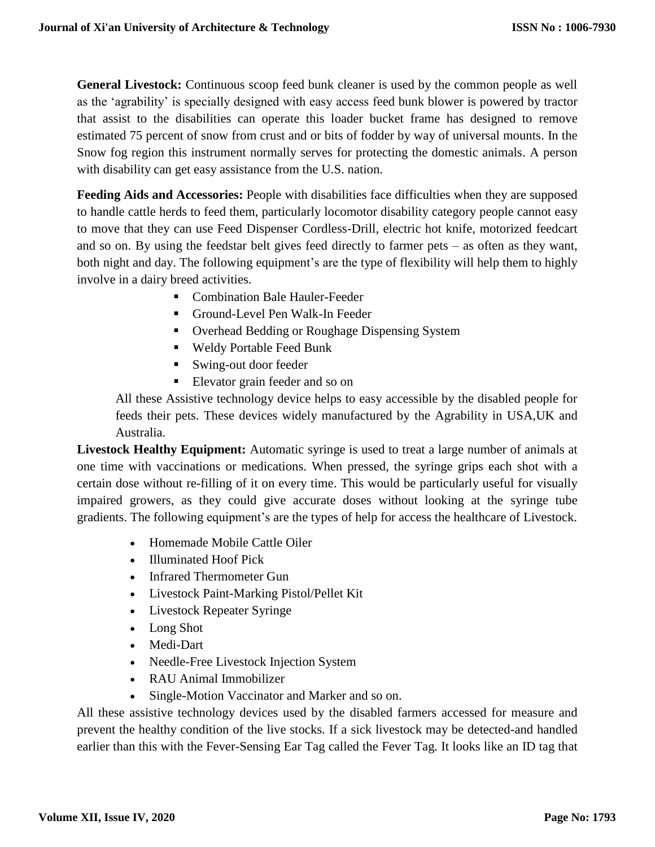**General Livestock:** Continuous scoop feed bunk cleaner is used by the common people as well as the 'agrability' is specially designed with easy access feed bunk blower is powered by tractor that assist to the disabilities can operate this loader bucket frame has designed to remove estimated 75 percent of snow from crust and or bits of fodder by way of universal mounts. In the Snow fog region this instrument normally serves for protecting the domestic animals. A person with disability can get easy assistance from the U.S. nation.

**Feeding Aids and Accessories:** People with disabilities face difficulties when they are supposed to handle cattle herds to feed them, particularly locomotor disability category people cannot easy to move that they can use Feed Dispenser Cordless-Drill, electric hot knife, motorized feedcart and so on. By using the feedstar belt gives feed directly to farmer pets – as often as they want, both night and day. The following equipment's are the type of flexibility will help them to highly involve in a dairy breed activities.

- Combination Bale Hauler-Feeder
- Ground-Level Pen Walk-In Feeder
- Overhead Bedding or Roughage Dispensing System
- Weldy Portable Feed Bunk
- Swing-out door feeder
- **Elevator grain feeder and so on**

All these Assistive technology device helps to easy accessible by the disabled people for feeds their pets. These devices widely manufactured by the Agrability in USA,UK and Australia.

**Livestock Healthy Equipment:** Automatic syringe is used to treat a large number of animals at one time with vaccinations or medications. When pressed, the syringe grips each shot with a certain dose without re-filling of it on every time. This would be particularly useful for visually impaired growers, as they could give accurate doses without looking at the syringe tube gradients. The following equipment's are the types of help for access the healthcare of Livestock.

- Homemade Mobile Cattle Oiler
- Illuminated Hoof Pick
- Infrared Thermometer Gun
- Livestock Paint-Marking Pistol/Pellet Kit
- Livestock Repeater Syringe
- Long Shot
- Medi-Dart
- Needle-Free Livestock Injection System
- RAU Animal Immobilizer
- Single-Motion Vaccinator and Marker and so on.

All these assistive technology devices used by the disabled farmers accessed for measure and prevent the healthy condition of the live stocks. If a sick livestock may be detected-and handled earlier than this with the Fever-Sensing Ear Tag called the Fever Tag. It looks like an ID tag that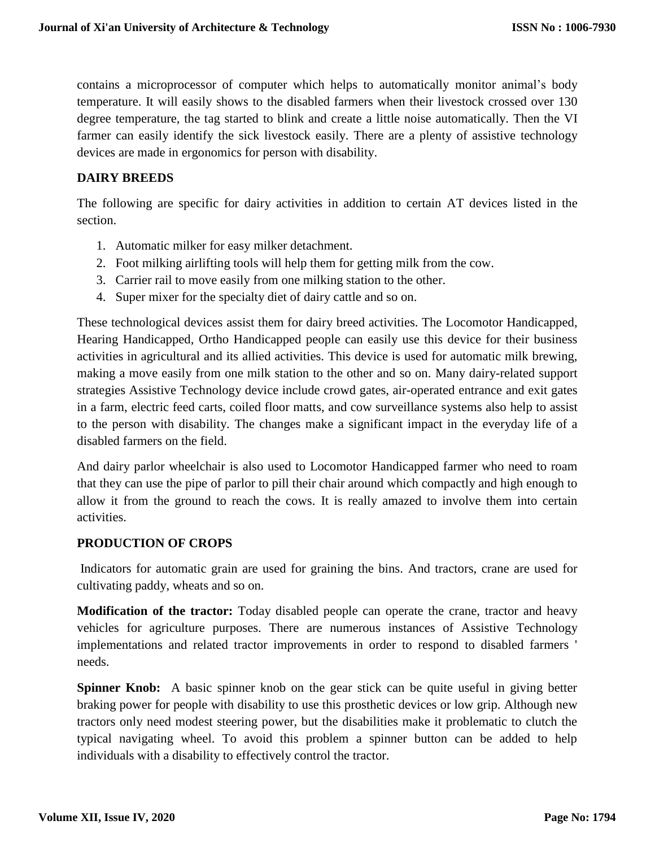contains a microprocessor of computer which helps to automatically monitor animal's body temperature. It will easily shows to the disabled farmers when their livestock crossed over 130 degree temperature, the tag started to blink and create a little noise automatically. Then the VI farmer can easily identify the sick livestock easily. There are a plenty of assistive technology devices are made in ergonomics for person with disability.

#### **DAIRY BREEDS**

The following are specific for dairy activities in addition to certain AT devices listed in the section.

- 1. Automatic milker for easy milker detachment.
- 2. Foot milking airlifting tools will help them for getting milk from the cow.
- 3. Carrier rail to move easily from one milking station to the other.
- 4. Super mixer for the specialty diet of dairy cattle and so on.

These technological devices assist them for dairy breed activities. The Locomotor Handicapped, Hearing Handicapped, Ortho Handicapped people can easily use this device for their business activities in agricultural and its allied activities. This device is used for automatic milk brewing, making a move easily from one milk station to the other and so on. Many dairy-related support strategies Assistive Technology device include crowd gates, air-operated entrance and exit gates in a farm, electric feed carts, coiled floor matts, and cow surveillance systems also help to assist to the person with disability. The changes make a significant impact in the everyday life of a disabled farmers on the field.

And dairy parlor wheelchair is also used to Locomotor Handicapped farmer who need to roam that they can use the pipe of parlor to pill their chair around which compactly and high enough to allow it from the ground to reach the cows. It is really amazed to involve them into certain activities.

#### **PRODUCTION OF CROPS**

Indicators for automatic grain are used for graining the bins. And tractors, crane are used for cultivating paddy, wheats and so on.

**Modification of the tractor:** Today disabled people can operate the crane, tractor and heavy vehicles for agriculture purposes. There are numerous instances of Assistive Technology implementations and related tractor improvements in order to respond to disabled farmers ' needs.

**Spinner Knob:** A basic spinner knob on the gear stick can be quite useful in giving better braking power for people with disability to use this prosthetic devices or low grip. Although new tractors only need modest steering power, but the disabilities make it problematic to clutch the typical navigating wheel. To avoid this problem a spinner button can be added to help individuals with a disability to effectively control the tractor.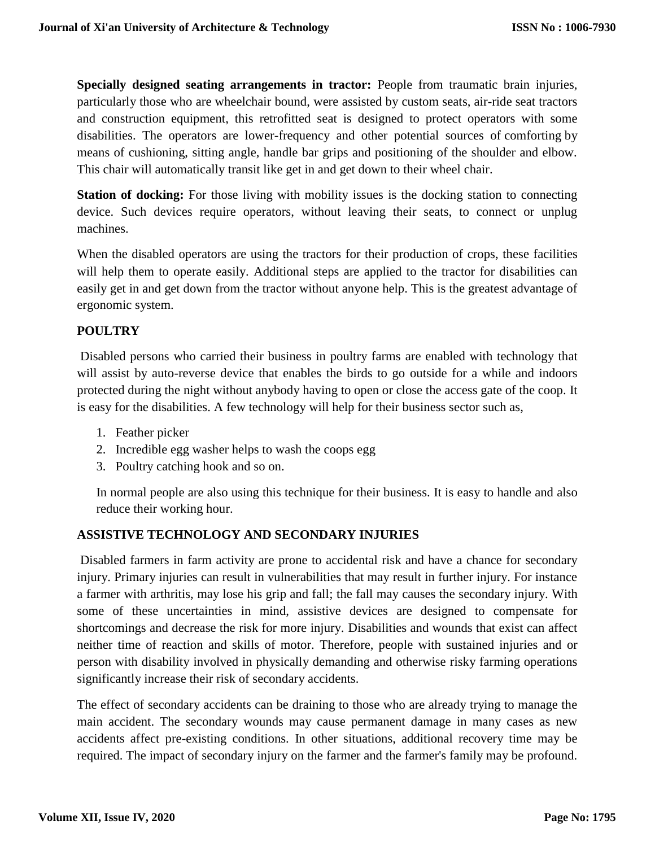**Specially designed seating arrangements in tractor:** People from traumatic brain injuries, particularly those who are wheelchair bound, were assisted by custom seats, air-ride seat tractors and construction equipment, this retrofitted seat is designed to protect operators with some disabilities. The operators are lower-frequency and other potential sources of comforting by means of cushioning, sitting angle, handle bar grips and positioning of the shoulder and elbow. This chair will automatically transit like get in and get down to their wheel chair.

**Station of docking:** For those living with mobility issues is the docking station to connecting device. Such devices require operators, without leaving their seats, to connect or unplug machines.

When the disabled operators are using the tractors for their production of crops, these facilities will help them to operate easily. Additional steps are applied to the tractor for disabilities can easily get in and get down from the tractor without anyone help. This is the greatest advantage of ergonomic system.

#### **POULTRY**

Disabled persons who carried their business in poultry farms are enabled with technology that will assist by auto-reverse device that enables the birds to go outside for a while and indoors protected during the night without anybody having to open or close the access gate of the coop. It is easy for the disabilities. A few technology will help for their business sector such as,

- 1. Feather picker
- 2. Incredible egg washer helps to wash the coops egg
- 3. Poultry catching hook and so on.

In normal people are also using this technique for their business. It is easy to handle and also reduce their working hour.

#### **ASSISTIVE TECHNOLOGY AND SECONDARY INJURIES**

Disabled farmers in farm activity are prone to accidental risk and have a chance for secondary injury. Primary injuries can result in vulnerabilities that may result in further injury. For instance a farmer with arthritis, may lose his grip and fall; the fall may causes the secondary injury. With some of these uncertainties in mind, assistive devices are designed to compensate for shortcomings and decrease the risk for more injury. Disabilities and wounds that exist can affect neither time of reaction and skills of motor. Therefore, people with sustained injuries and or person with disability involved in physically demanding and otherwise risky farming operations significantly increase their risk of secondary accidents.

The effect of secondary accidents can be draining to those who are already trying to manage the main accident. The secondary wounds may cause permanent damage in many cases as new accidents affect pre-existing conditions. In other situations, additional recovery time may be required. The impact of secondary injury on the farmer and the farmer's family may be profound.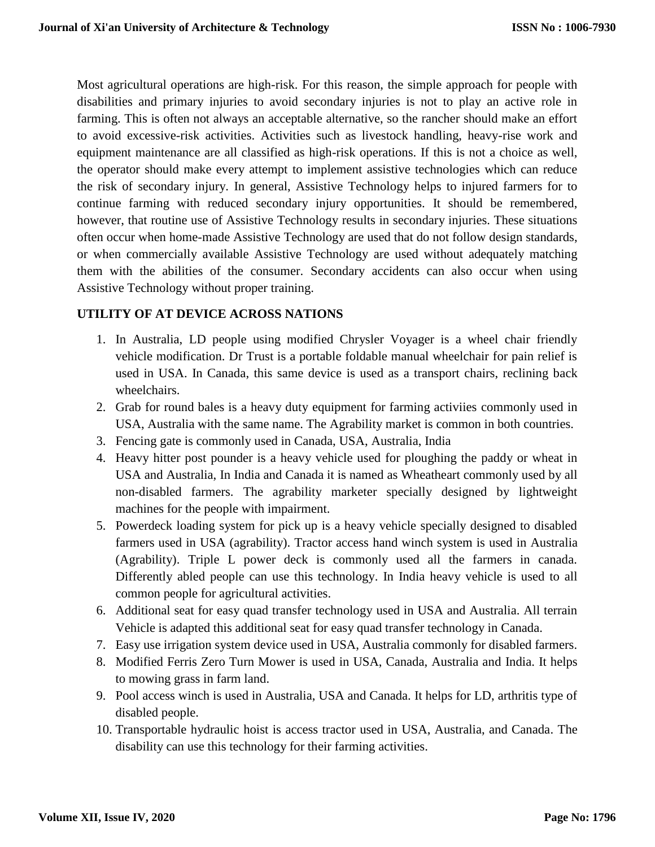Most agricultural operations are high-risk. For this reason, the simple approach for people with disabilities and primary injuries to avoid secondary injuries is not to play an active role in farming. This is often not always an acceptable alternative, so the rancher should make an effort to avoid excessive-risk activities. Activities such as livestock handling, heavy-rise work and equipment maintenance are all classified as high-risk operations. If this is not a choice as well, the operator should make every attempt to implement assistive technologies which can reduce the risk of secondary injury. In general, Assistive Technology helps to injured farmers for to continue farming with reduced secondary injury opportunities. It should be remembered, however, that routine use of Assistive Technology results in secondary injuries. These situations often occur when home-made Assistive Technology are used that do not follow design standards, or when commercially available Assistive Technology are used without adequately matching them with the abilities of the consumer. Secondary accidents can also occur when using Assistive Technology without proper training.

# **UTILITY OF AT DEVICE ACROSS NATIONS**

- 1. In Australia, LD people using modified Chrysler Voyager is a wheel chair friendly vehicle modification. Dr Trust is a portable foldable manual wheelchair for pain relief is used in USA. In Canada, this same device is used as a transport chairs, reclining back wheelchairs.
- 2. Grab for round bales is a heavy duty equipment for farming activiies commonly used in USA, Australia with the same name. The Agrability market is common in both countries.
- 3. Fencing gate is commonly used in Canada, USA, Australia, India
- 4. Heavy hitter post pounder is a heavy vehicle used for ploughing the paddy or wheat in USA and Australia, In India and Canada it is named as Wheatheart commonly used by all non-disabled farmers. The agrability marketer specially designed by lightweight machines for the people with impairment.
- 5. Powerdeck loading system for pick up is a heavy vehicle specially designed to disabled farmers used in USA (agrability). Tractor access hand winch system is used in Australia (Agrability). Triple L power deck is commonly used all the farmers in canada. Differently abled people can use this technology. In India heavy vehicle is used to all common people for agricultural activities.
- 6. [Additional seat for easy quad transfer](https://sydney.edu.au/medicine/aghealth/uploaded/Farmers%20with%20Disabilities/additional_seat_for_easy_quad_transfer.pdf) technology used in USA and Australia. All terrain Vehicle is adapted this additional seat for easy quad transfer technology in Canada.
- 7. Easy use irrigation system device used in USA, Australia commonly for disabled farmers.
- 8. Modified Ferris Zero Turn Mower is used in USA, Canada, Australia and India. It helps to mowing grass in farm land.
- 9. Pool access winch is used in Australia, USA and Canada. It helps for LD, arthritis type of disabled people.
- 10. Transportable hydraulic hoist is access tractor used in USA, Australia, and Canada. The disability can use this technology for their farming activities.